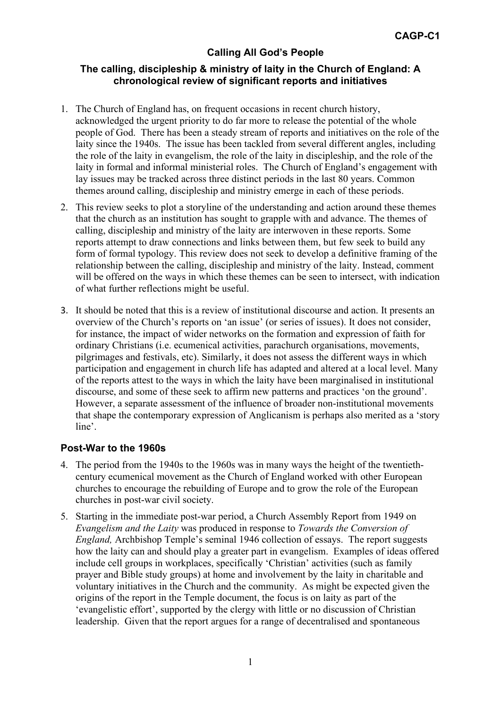#### **The calling, discipleship & ministry of laity in the Church of England: A chronological review of significant reports and initiatives**

- 1. The Church of England has, on frequent occasions in recent church history, acknowledged the urgent priority to do far more to release the potential of the whole people of God. There has been a steady stream of reports and initiatives on the role of the laity since the 1940s. The issue has been tackled from several different angles, including the role of the laity in evangelism, the role of the laity in discipleship, and the role of the laity in formal and informal ministerial roles. The Church of England's engagement with lay issues may be tracked across three distinct periods in the last 80 years. Common themes around calling, discipleship and ministry emerge in each of these periods.
- 2. This review seeks to plot a storyline of the understanding and action around these themes that the church as an institution has sought to grapple with and advance. The themes of calling, discipleship and ministry of the laity are interwoven in these reports. Some reports attempt to draw connections and links between them, but few seek to build any form of formal typology. This review does not seek to develop a definitive framing of the relationship between the calling, discipleship and ministry of the laity. Instead, comment will be offered on the ways in which these themes can be seen to intersect, with indication of what further reflections might be useful.
- 3. It should be noted that this is a review of institutional discourse and action. It presents an overview of the Church's reports on 'an issue' (or series of issues). It does not consider, for instance, the impact of wider networks on the formation and expression of faith for ordinary Christians (i.e. ecumenical activities, parachurch organisations, movements, pilgrimages and festivals, etc). Similarly, it does not assess the different ways in which participation and engagement in church life has adapted and altered at a local level. Many of the reports attest to the ways in which the laity have been marginalised in institutional discourse, and some of these seek to affirm new patterns and practices 'on the ground'. However, a separate assessment of the influence of broader non-institutional movements that shape the contemporary expression of Anglicanism is perhaps also merited as a 'story line'.

### **Post-War to the 1960s**

- 4. The period from the 1940s to the 1960s was in many ways the height of the twentiethcentury ecumenical movement as the Church of England worked with other European churches to encourage the rebuilding of Europe and to grow the role of the European churches in post-war civil society.
- 5. Starting in the immediate post-war period, a Church Assembly Report from 1949 on *Evangelism and the Laity* was produced in response to *Towards the Conversion of England,* Archbishop Temple's seminal 1946 collection of essays. The report suggests how the laity can and should play a greater part in evangelism. Examples of ideas offered include cell groups in workplaces, specifically 'Christian' activities (such as family prayer and Bible study groups) at home and involvement by the laity in charitable and voluntary initiatives in the Church and the community. As might be expected given the origins of the report in the Temple document, the focus is on laity as part of the 'evangelistic effort', supported by the clergy with little or no discussion of Christian leadership. Given that the report argues for a range of decentralised and spontaneous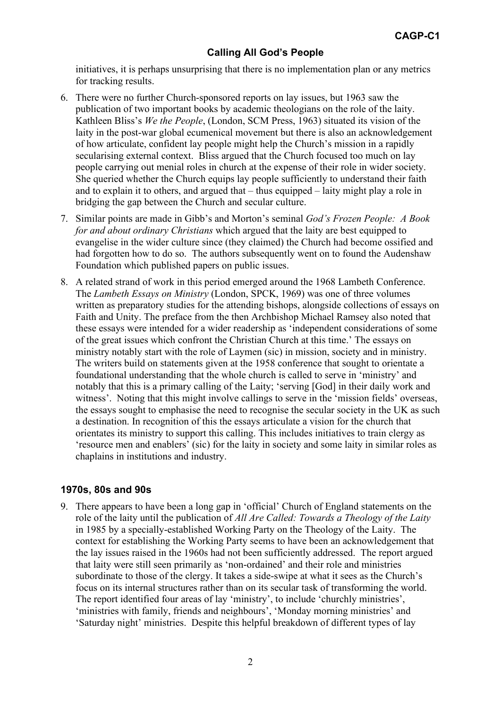initiatives, it is perhaps unsurprising that there is no implementation plan or any metrics for tracking results.

- 6. There were no further Church-sponsored reports on lay issues, but 1963 saw the publication of two important books by academic theologians on the role of the laity. Kathleen Bliss's *We the People*, (London, SCM Press, 1963) situated its vision of the laity in the post-war global ecumenical movement but there is also an acknowledgement of how articulate, confident lay people might help the Church's mission in a rapidly secularising external context. Bliss argued that the Church focused too much on lay people carrying out menial roles in church at the expense of their role in wider society. She queried whether the Church equips lay people sufficiently to understand their faith and to explain it to others, and argued that – thus equipped – laity might play a role in bridging the gap between the Church and secular culture.
- 7. Similar points are made in Gibb's and Morton's seminal *God's Frozen People: A Book for and about ordinary Christians* which argued that the laity are best equipped to evangelise in the wider culture since (they claimed) the Church had become ossified and had forgotten how to do so. The authors subsequently went on to found the Audenshaw Foundation which published papers on public issues.
- 8. A related strand of work in this period emerged around the 1968 Lambeth Conference. The *Lambeth Essays on Ministry* (London, SPCK, 1969) was one of three volumes written as preparatory studies for the attending bishops, alongside collections of essays on Faith and Unity. The preface from the then Archbishop Michael Ramsey also noted that these essays were intended for a wider readership as 'independent considerations of some of the great issues which confront the Christian Church at this time.' The essays on ministry notably start with the role of Laymen (sic) in mission, society and in ministry. The writers build on statements given at the 1958 conference that sought to orientate a foundational understanding that the whole church is called to serve in 'ministry' and notably that this is a primary calling of the Laity; 'serving [God] in their daily work and witness'. Noting that this might involve callings to serve in the 'mission fields' overseas, the essays sought to emphasise the need to recognise the secular society in the UK as such a destination. In recognition of this the essays articulate a vision for the church that orientates its ministry to support this calling. This includes initiatives to train clergy as 'resource men and enablers' (sic) for the laity in society and some laity in similar roles as chaplains in institutions and industry.

### **1970s, 80s and 90s**

9. There appears to have been a long gap in 'official' Church of England statements on the role of the laity until the publication of *All Are Called: Towards a Theology of the Laity* in 1985 by a specially-established Working Party on the Theology of the Laity. The context for establishing the Working Party seems to have been an acknowledgement that the lay issues raised in the 1960s had not been sufficiently addressed. The report argued that laity were still seen primarily as 'non-ordained' and their role and ministries subordinate to those of the clergy. It takes a side-swipe at what it sees as the Church's focus on its internal structures rather than on its secular task of transforming the world. The report identified four areas of lay 'ministry', to include 'churchly ministries', 'ministries with family, friends and neighbours', 'Monday morning ministries' and 'Saturday night' ministries. Despite this helpful breakdown of different types of lay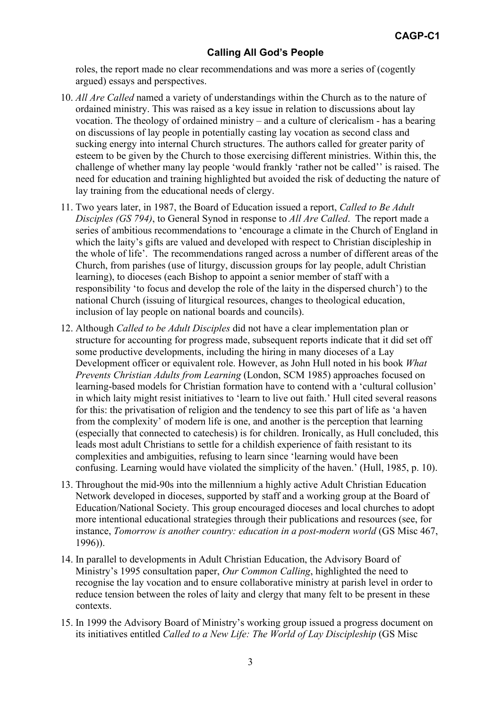roles, the report made no clear recommendations and was more a series of (cogently argued) essays and perspectives.

- 10. *All Are Called* named a variety of understandings within the Church as to the nature of ordained ministry. This was raised as a key issue in relation to discussions about lay vocation. The theology of ordained ministry – and a culture of clericalism - has a bearing on discussions of lay people in potentially casting lay vocation as second class and sucking energy into internal Church structures. The authors called for greater parity of esteem to be given by the Church to those exercising different ministries. Within this, the challenge of whether many lay people 'would frankly 'rather not be called'' is raised. The need for education and training highlighted but avoided the risk of deducting the nature of lay training from the educational needs of clergy.
- 11. Two years later, in 1987, the Board of Education issued a report, *Called to Be Adult Disciples (GS 794)*, to General Synod in response to *All Are Called*. The report made a series of ambitious recommendations to 'encourage a climate in the Church of England in which the laity's gifts are valued and developed with respect to Christian discipleship in the whole of life'. The recommendations ranged across a number of different areas of the Church, from parishes (use of liturgy, discussion groups for lay people, adult Christian learning), to dioceses (each Bishop to appoint a senior member of staff with a responsibility 'to focus and develop the role of the laity in the dispersed church') to the national Church (issuing of liturgical resources, changes to theological education, inclusion of lay people on national boards and councils).
- 12. Although *Called to be Adult Disciples* did not have a clear implementation plan or structure for accounting for progress made, subsequent reports indicate that it did set off some productive developments, including the hiring in many dioceses of a Lay Development officer or equivalent role. However, as John Hull noted in his book *What Prevents Christian Adults from Learning* (London, SCM 1985) approaches focused on learning-based models for Christian formation have to contend with a 'cultural collusion' in which laity might resist initiatives to 'learn to live out faith.' Hull cited several reasons for this: the privatisation of religion and the tendency to see this part of life as 'a haven from the complexity' of modern life is one, and another is the perception that learning (especially that connected to catechesis) is for children. Ironically, as Hull concluded, this leads most adult Christians to settle for a childish experience of faith resistant to its complexities and ambiguities, refusing to learn since 'learning would have been confusing. Learning would have violated the simplicity of the haven.' (Hull, 1985, p. 10).
- 13. Throughout the mid-90s into the millennium a highly active Adult Christian Education Network developed in dioceses, supported by staff and a working group at the Board of Education/National Society. This group encouraged dioceses and local churches to adopt more intentional educational strategies through their publications and resources (see, for instance, *Tomorrow is another country: education in a post-modern world* (GS Misc 467, 1996)).
- 14. In parallel to developments in Adult Christian Education, the Advisory Board of Ministry's 1995 consultation paper, *Our Common Calling*, highlighted the need to recognise the lay vocation and to ensure collaborative ministry at parish level in order to reduce tension between the roles of laity and clergy that many felt to be present in these contexts.
- 15. In 1999 the Advisory Board of Ministry's working group issued a progress document on its initiatives entitled *Called to a New Life: The World of Lay Discipleship* (GS Misc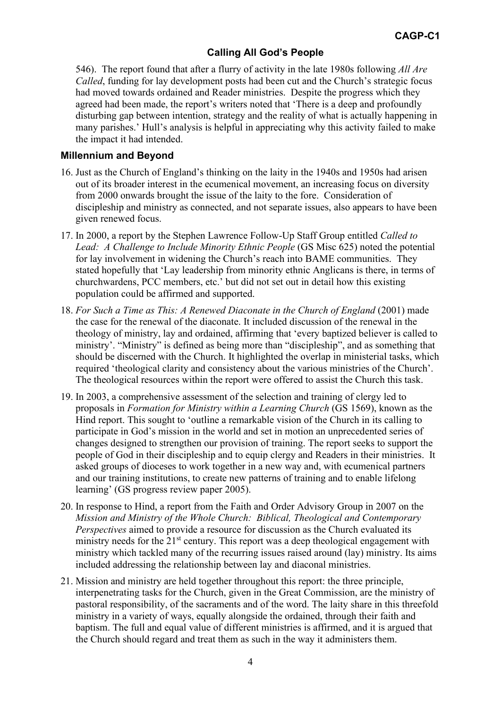546). The report found that after a flurry of activity in the late 1980s following *All Are Called*, funding for lay development posts had been cut and the Church's strategic focus had moved towards ordained and Reader ministries. Despite the progress which they agreed had been made, the report's writers noted that 'There is a deep and profoundly disturbing gap between intention, strategy and the reality of what is actually happening in many parishes.' Hull's analysis is helpful in appreciating why this activity failed to make the impact it had intended.

#### **Millennium and Beyond**

- 16. Just as the Church of England's thinking on the laity in the 1940s and 1950s had arisen out of its broader interest in the ecumenical movement, an increasing focus on diversity from 2000 onwards brought the issue of the laity to the fore. Consideration of discipleship and ministry as connected, and not separate issues, also appears to have been given renewed focus.
- 17. In 2000, a report by the Stephen Lawrence Follow-Up Staff Group entitled *Called to Lead: A Challenge to Include Minority Ethnic People* (GS Misc 625) noted the potential for lay involvement in widening the Church's reach into BAME communities. They stated hopefully that 'Lay leadership from minority ethnic Anglicans is there, in terms of churchwardens, PCC members, etc.' but did not set out in detail how this existing population could be affirmed and supported.
- 18. For Such a Time as This: A Renewed Diaconate in the Church of England (2001) made the case for the renewal of the diaconate. It included discussion of the renewal in the theology of ministry, lay and ordained, affirming that 'every baptized believer is called to ministry'. "Ministry" is defined as being more than "discipleship", and as something that should be discerned with the Church. It highlighted the overlap in ministerial tasks, which required 'theological clarity and consistency about the various ministries of the Church'. The theological resources within the report were offered to assist the Church this task.
- 19. In 2003, a comprehensive assessment of the selection and training of clergy led to proposals in *Formation for Ministry within a Learning Church* (GS 1569), known as the Hind report. This sought to 'outline a remarkable vision of the Church in its calling to participate in God's mission in the world and set in motion an unprecedented series of changes designed to strengthen our provision of training. The report seeks to support the people of God in their discipleship and to equip clergy and Readers in their ministries. It asked groups of dioceses to work together in a new way and, with ecumenical partners and our training institutions, to create new patterns of training and to enable lifelong learning' (GS progress review paper 2005).
- 20. In response to Hind, a report from the Faith and Order Advisory Group in 2007 on the *Mission and Ministry of the Whole Church: Biblical, Theological and Contemporary Perspectives* aimed to provide a resource for discussion as the Church evaluated its ministry needs for the  $21<sup>st</sup>$  century. This report was a deep theological engagement with ministry which tackled many of the recurring issues raised around (lay) ministry. Its aims included addressing the relationship between lay and diaconal ministries.
- 21. Mission and ministry are held together throughout this report: the three principle, interpenetrating tasks for the Church, given in the Great Commission, are the ministry of pastoral responsibility, of the sacraments and of the word. The laity share in this threefold ministry in a variety of ways, equally alongside the ordained, through their faith and baptism. The full and equal value of different ministries is affirmed, and it is argued that the Church should regard and treat them as such in the way it administers them.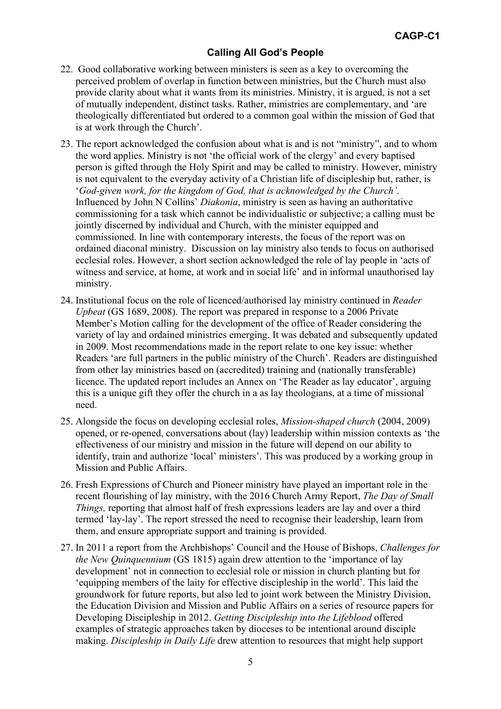- 22. Good collaborative working between ministers is seen as a key to overcoming the perceived problem of overlap in function between ministries, but the Church must also provide clarity about what it wants from its ministries. Ministry, it is argued, is not a set of mutually independent, distinct tasks. Rather, ministries are complementary, and 'are theologically differentiated but ordered to a common goal within the mission of God that is at work through the Church'.
- 23. The report acknowledged the confusion about what is and is not "ministry", and to whom the word applies. Ministry is not 'the official work of the clergy' and every baptised person is gifted through the Holy Spirit and may be called to ministry. However, ministry is not equivalent to the everyday activity of a Christian life of discipleship but, rather, is '*God-given work, for the kingdom of God, that is acknowledged by the Church'*. Influenced by John N Collins' *Diakonia*, ministry is seen as having an authoritative commissioning for a task which cannot be individualistic or subjective; a calling must be jointly discerned by individual and Church, with the minister equipped and commissioned. In line with contemporary interests, the focus of the report was on ordained diaconal ministry. Discussion on lay ministry also tends to focus on authorised ecclesial roles. However, a short section acknowledged the role of lay people in 'acts of witness and service, at home, at work and in social life' and in informal unauthorised lay ministry.
- 24. Institutional focus on the role of licenced/authorised lay ministry continued in *Reader Upbeat* (GS 1689, 2008). The report was prepared in response to a 2006 Private Member's Motion calling for the development of the office of Reader considering the variety of lay and ordained ministries emerging. It was debated and subsequently updated in 2009. Most recommendations made in the report relate to one key issue: whether Readers 'are full partners in the public ministry of the Church'. Readers are distinguished from other lay ministries based on (accredited) training and (nationally transferable) licence. The updated report includes an Annex on 'The Reader as lay educator', arguing this is a unique gift they offer the church in a as lay theologians, at a time of missional need.
- 25. Alongside the focus on developing ecclesial roles, *Mission-shaped church* (2004, 2009) opened, or re-opened, conversations about (lay) leadership within mission contexts as 'the effectiveness of our ministry and mission in the future will depend on our ability to identify, train and authorize 'local' ministers'. This was produced by a working group in Mission and Public Affairs.
- 26. Fresh Expressions of Church and Pioneer ministry have played an important role in the recent flourishing of lay ministry, with the 2016 Church Army Report, *The Day of Small Things,* reporting that almost half of fresh expressions leaders are lay and over a third termed 'lay-lay'. The report stressed the need to recognise their leadership, learn from them, and ensure appropriate support and training is provided.
- 27. In 2011 a report from the Archbishops' Council and the House of Bishops, *Challenges for the New Quinquennium* (GS 1815) again drew attention to the 'importance of lay development' not in connection to ecclesial role or mission in church planting but for 'equipping members of the laity for effective discipleship in the world'. This laid the groundwork for future reports, but also led to joint work between the Ministry Division, the Education Division and Mission and Public Affairs on a series of resource papers for Developing Discipleship in 2012. *Getting Discipleship into the Lifeblood* offered examples of strategic approaches taken by dioceses to be intentional around disciple making. *Discipleship in Daily Life* drew attention to resources that might help support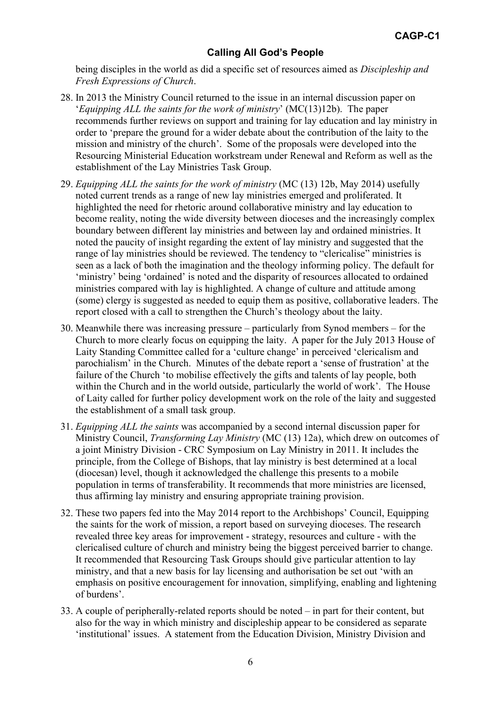being disciples in the world as did a specific set of resources aimed as *Discipleship and Fresh Expressions of Church*.

- 28. In 2013 the Ministry Council returned to the issue in an internal discussion paper on '*Equipping ALL the saints for the work of ministry*' (MC(13)12b). The paper recommends further reviews on support and training for lay education and lay ministry in order to 'prepare the ground for a wider debate about the contribution of the laity to the mission and ministry of the church'. Some of the proposals were developed into the Resourcing Ministerial Education workstream under Renewal and Reform as well as the establishment of the Lay Ministries Task Group.
- 29. *Equipping ALL the saints for the work of ministry* (MC (13) 12b, May 2014) usefully noted current trends as a range of new lay ministries emerged and proliferated. It highlighted the need for rhetoric around collaborative ministry and lay education to become reality, noting the wide diversity between dioceses and the increasingly complex boundary between different lay ministries and between lay and ordained ministries. It noted the paucity of insight regarding the extent of lay ministry and suggested that the range of lay ministries should be reviewed. The tendency to "clericalise" ministries is seen as a lack of both the imagination and the theology informing policy. The default for 'ministry' being 'ordained' is noted and the disparity of resources allocated to ordained ministries compared with lay is highlighted. A change of culture and attitude among (some) clergy is suggested as needed to equip them as positive, collaborative leaders. The report closed with a call to strengthen the Church's theology about the laity.
- 30. Meanwhile there was increasing pressure particularly from Synod members for the Church to more clearly focus on equipping the laity. A paper for the July 2013 House of Laity Standing Committee called for a 'culture change' in perceived 'clericalism and parochialism' in the Church. Minutes of the debate report a 'sense of frustration' at the failure of the Church 'to mobilise effectively the gifts and talents of lay people, both within the Church and in the world outside, particularly the world of work'. The House of Laity called for further policy development work on the role of the laity and suggested the establishment of a small task group.
- 31. *Equipping ALL the saints* was accompanied by a second internal discussion paper for Ministry Council, *Transforming Lay Ministry* (MC (13) 12a), which drew on outcomes of a joint Ministry Division - CRC Symposium on Lay Ministry in 2011. It includes the principle, from the College of Bishops, that lay ministry is best determined at a local (diocesan) level, though it acknowledged the challenge this presents to a mobile population in terms of transferability. It recommends that more ministries are licensed, thus affirming lay ministry and ensuring appropriate training provision.
- 32. These two papers fed into the May 2014 report to the Archbishops' Council, Equipping the saints for the work of mission, a report based on surveying dioceses. The research revealed three key areas for improvement - strategy, resources and culture - with the clericalised culture of church and ministry being the biggest perceived barrier to change. It recommended that Resourcing Task Groups should give particular attention to lay ministry, and that a new basis for lay licensing and authorisation be set out 'with an emphasis on positive encouragement for innovation, simplifying, enabling and lightening of burdens'.
- 33. A couple of peripherally-related reports should be noted in part for their content, but also for the way in which ministry and discipleship appear to be considered as separate 'institutional' issues. A statement from the Education Division, Ministry Division and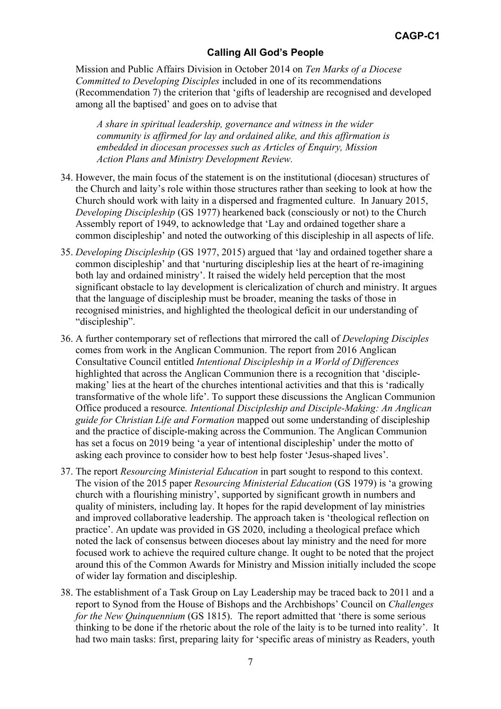Mission and Public Affairs Division in October 2014 on *Ten Marks of a Diocese Committed to Developing Disciples* included in one of its recommendations (Recommendation 7) the criterion that 'gifts of leadership are recognised and developed among all the baptised' and goes on to advise that

*A share in spiritual leadership, governance and witness in the wider community is affirmed for lay and ordained alike, and this affirmation is embedded in diocesan processes such as Articles of Enquiry, Mission Action Plans and Ministry Development Review.* 

- 34. However, the main focus of the statement is on the institutional (diocesan) structures of the Church and laity's role within those structures rather than seeking to look at how the Church should work with laity in a dispersed and fragmented culture. In January 2015, *Developing Discipleship* (GS 1977) hearkened back (consciously or not) to the Church Assembly report of 1949, to acknowledge that 'Lay and ordained together share a common discipleship' and noted the outworking of this discipleship in all aspects of life.
- 35. *Developing Discipleship* (GS 1977, 2015) argued that 'lay and ordained together share a common discipleship' and that 'nurturing discipleship lies at the heart of re-imagining both lay and ordained ministry'. It raised the widely held perception that the most significant obstacle to lay development is clericalization of church and ministry. It argues that the language of discipleship must be broader, meaning the tasks of those in recognised ministries, and highlighted the theological deficit in our understanding of "discipleship".
- 36. A further contemporary set of reflections that mirrored the call of *Developing Disciples* comes from work in the Anglican Communion. The report from 2016 Anglican Consultative Council entitled *Intentional Discipleship in a World of Differences* highlighted that across the Anglican Communion there is a recognition that 'disciplemaking' lies at the heart of the churches intentional activities and that this is 'radically transformative of the whole life'. To support these discussions the Anglican Communion Office produced a resource*. Intentional Discipleship and Disciple-Making: An Anglican guide for Christian Life and Formation* mapped out some understanding of discipleship and the practice of disciple-making across the Communion. The Anglican Communion has set a focus on 2019 being 'a year of intentional discipleship' under the motto of asking each province to consider how to best help foster 'Jesus-shaped lives'.
- 37. The report *Resourcing Ministerial Education* in part sought to respond to this context. The vision of the 2015 paper *Resourcing Ministerial Education* (GS 1979) is 'a growing church with a flourishing ministry', supported by significant growth in numbers and quality of ministers, including lay. It hopes for the rapid development of lay ministries and improved collaborative leadership. The approach taken is 'theological reflection on practice'. An update was provided in GS 2020, including a theological preface which noted the lack of consensus between dioceses about lay ministry and the need for more focused work to achieve the required culture change. It ought to be noted that the project around this of the Common Awards for Ministry and Mission initially included the scope of wider lay formation and discipleship.
- 38. The establishment of a Task Group on Lay Leadership may be traced back to 2011 and a report to Synod from the House of Bishops and the Archbishops' Council on *Challenges for the New Quinquennium* (GS 1815). The report admitted that 'there is some serious thinking to be done if the rhetoric about the role of the laity is to be turned into reality'. It had two main tasks: first, preparing laity for 'specific areas of ministry as Readers, youth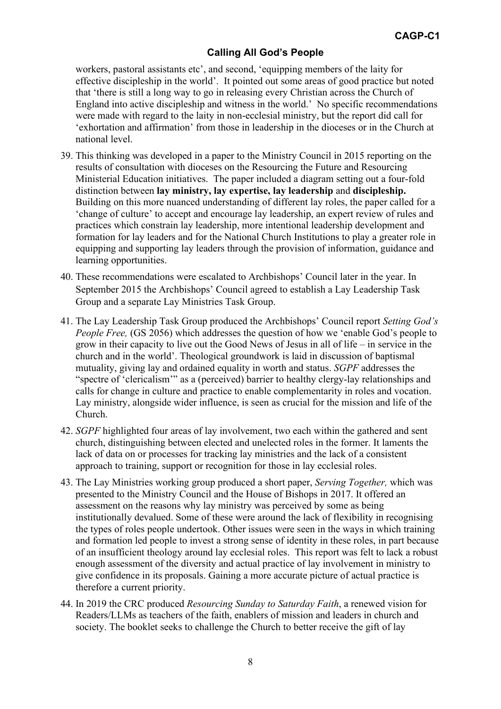workers, pastoral assistants etc', and second, 'equipping members of the laity for effective discipleship in the world'. It pointed out some areas of good practice but noted that 'there is still a long way to go in releasing every Christian across the Church of England into active discipleship and witness in the world.' No specific recommendations were made with regard to the laity in non-ecclesial ministry, but the report did call for 'exhortation and affirmation' from those in leadership in the dioceses or in the Church at national level.

- 39. This thinking was developed in a paper to the Ministry Council in 2015 reporting on the results of consultation with dioceses on the Resourcing the Future and Resourcing Ministerial Education initiatives. The paper included a diagram setting out a four-fold distinction between **lay ministry, lay expertise, lay leadership** and **discipleship.** Building on this more nuanced understanding of different lay roles, the paper called for a 'change of culture' to accept and encourage lay leadership, an expert review of rules and practices which constrain lay leadership, more intentional leadership development and formation for lay leaders and for the National Church Institutions to play a greater role in equipping and supporting lay leaders through the provision of information, guidance and learning opportunities.
- 40. These recommendations were escalated to Archbishops' Council later in the year. In September 2015 the Archbishops' Council agreed to establish a Lay Leadership Task Group and a separate Lay Ministries Task Group.
- 41. The Lay Leadership Task Group produced the Archbishops' Council report *Setting God's People Free,* (GS 2056) which addresses the question of how we 'enable God's people to grow in their capacity to live out the Good News of Jesus in all of life – in service in the church and in the world'. Theological groundwork is laid in discussion of baptismal mutuality, giving lay and ordained equality in worth and status. *SGPF* addresses the "spectre of 'clericalism'" as a (perceived) barrier to healthy clergy-lay relationships and calls for change in culture and practice to enable complementarity in roles and vocation. Lay ministry, alongside wider influence, is seen as crucial for the mission and life of the Church.
- 42. *SGPF* highlighted four areas of lay involvement, two each within the gathered and sent church, distinguishing between elected and unelected roles in the former. It laments the lack of data on or processes for tracking lay ministries and the lack of a consistent approach to training, support or recognition for those in lay ecclesial roles.
- 43. The Lay Ministries working group produced a short paper, *Serving Together,* which was presented to the Ministry Council and the House of Bishops in 2017. It offered an assessment on the reasons why lay ministry was perceived by some as being institutionally devalued. Some of these were around the lack of flexibility in recognising the types of roles people undertook. Other issues were seen in the ways in which training and formation led people to invest a strong sense of identity in these roles, in part because of an insufficient theology around lay ecclesial roles. This report was felt to lack a robust enough assessment of the diversity and actual practice of lay involvement in ministry to give confidence in its proposals. Gaining a more accurate picture of actual practice is therefore a current priority.
- 44. In 2019 the CRC produced *Resourcing Sunday to Saturday Faith*, a renewed vision for Readers/LLMs as teachers of the faith, enablers of mission and leaders in church and society. The booklet seeks to challenge the Church to better receive the gift of lay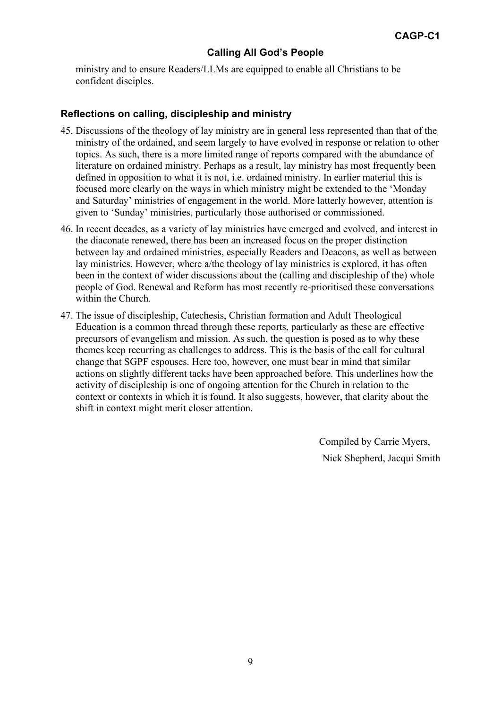ministry and to ensure Readers/LLMs are equipped to enable all Christians to be confident disciples.

#### **Reflections on calling, discipleship and ministry**

- 45. Discussions of the theology of lay ministry are in general less represented than that of the ministry of the ordained, and seem largely to have evolved in response or relation to other topics. As such, there is a more limited range of reports compared with the abundance of literature on ordained ministry. Perhaps as a result, lay ministry has most frequently been defined in opposition to what it is not, i.e. ordained ministry. In earlier material this is focused more clearly on the ways in which ministry might be extended to the 'Monday and Saturday' ministries of engagement in the world. More latterly however, attention is given to 'Sunday' ministries, particularly those authorised or commissioned.
- 46. In recent decades, as a variety of lay ministries have emerged and evolved, and interest in the diaconate renewed, there has been an increased focus on the proper distinction between lay and ordained ministries, especially Readers and Deacons, as well as between lay ministries. However, where a/the theology of lay ministries is explored, it has often been in the context of wider discussions about the (calling and discipleship of the) whole people of God. Renewal and Reform has most recently re-prioritised these conversations within the Church.
- 47. The issue of discipleship, Catechesis, Christian formation and Adult Theological Education is a common thread through these reports, particularly as these are effective precursors of evangelism and mission. As such, the question is posed as to why these themes keep recurring as challenges to address. This is the basis of the call for cultural change that SGPF espouses. Here too, however, one must bear in mind that similar actions on slightly different tacks have been approached before. This underlines how the activity of discipleship is one of ongoing attention for the Church in relation to the context or contexts in which it is found. It also suggests, however, that clarity about the shift in context might merit closer attention.

Compiled by Carrie Myers, Nick Shepherd, Jacqui Smith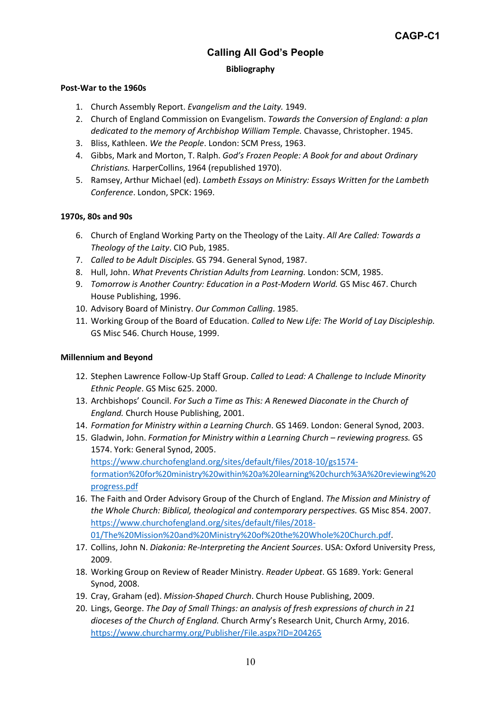# **Calling All God's People Bibliography**

#### **Post-War to the 1960s**

- 1. Church Assembly Report. *Evangelism and the Laity.* 1949.
- 2. Church of England Commission on Evangelism. *Towards the Conversion of England: a plan dedicated to the memory of Archbishop William Temple.* Chavasse, Christopher. 1945.
- 3. Bliss, Kathleen. *We the People*. London: SCM Press, 1963.
- 4. Gibbs, Mark and Morton, T. Ralph. *God's Frozen People: A Book for and about Ordinary Christians.* HarperCollins, 1964 (republished 1970).
- 5. Ramsey, Arthur Michael (ed). *Lambeth Essays on Ministry: Essays Written for the Lambeth Conference*. London, SPCK: 1969.

#### **1970s, 80s and 90s**

- 6. Church of England Working Party on the Theology of the Laity. *All Are Called: Towards a Theology of the Laity*. CIO Pub, 1985.
- 7. *Called to be Adult Disciples.* GS 794. General Synod, 1987.
- 8. Hull, John. *What Prevents Christian Adults from Learning.* London: SCM, 1985.
- 9. *Tomorrow is Another Country: Education in a Post-Modern World.* GS Misc 467. Church House Publishing, 1996.
- 10. Advisory Board of Ministry. *Our Common Calling*. 1985.
- 11. Working Group of the Board of Education. *Called to New Life: The World of Lay Discipleship.*  GS Misc 546. Church House, 1999.

#### **Millennium and Beyond**

- 12. Stephen Lawrence Follow-Up Staff Group. *Called to Lead: A Challenge to Include Minority Ethnic People*. GS Misc 625. 2000.
- 13. Archbishops' Council. *For Such a Time as This: A Renewed Diaconate in the Church of England.* Church House Publishing, 2001.
- 14. *Formation for Ministry within a Learning Church*. GS 1469. London: General Synod, 2003.
- 15. Gladwin, John. *Formation for Ministry within a Learning Church – reviewing progress.* GS 1574. York: General Synod, 2005. [https://www.churchofengland.org/sites/default/files/2018-10/gs1574](https://www.churchofengland.org/sites/default/files/2018-10/gs1574-formation%20for%20ministry%20within%20a%20learning%20church%3A%20reviewing%20progress.pdf) [formation%20for%20ministry%20within%20a%20learning%20church%3A%20reviewing%20](https://www.churchofengland.org/sites/default/files/2018-10/gs1574-formation%20for%20ministry%20within%20a%20learning%20church%3A%20reviewing%20progress.pdf) [progress.pdf](https://www.churchofengland.org/sites/default/files/2018-10/gs1574-formation%20for%20ministry%20within%20a%20learning%20church%3A%20reviewing%20progress.pdf)
- 16. The Faith and Order Advisory Group of the Church of England. *The Mission and Ministry of the Whole Church: Biblical, theological and contemporary perspectives.* GS Misc 854. 2007. [https://www.churchofengland.org/sites/default/files/2018-](https://www.churchofengland.org/sites/default/files/2018-01/The%20Mission%20and%20Ministry%20of%20the%20Whole%20Church.pdf) [01/The%20Mission%20and%20Ministry%20of%20the%20Whole%20Church.pdf.](https://www.churchofengland.org/sites/default/files/2018-01/The%20Mission%20and%20Ministry%20of%20the%20Whole%20Church.pdf)
- 17. Collins, John N. *Diakonia: Re-Interpreting the Ancient Sources*. USA: Oxford University Press, 2009.
- 18. Working Group on Review of Reader Ministry. *Reader Upbeat*. GS 1689. York: General Synod, 2008.
- 19. Cray, Graham (ed). *Mission-Shaped Church*. Church House Publishing, 2009.
- 20. Lings, George. *The Day of Small Things: an analysis of fresh expressions of church in 21 dioceses of the Church of England.* Church Army's Research Unit, Church Army, 2016. <https://www.churcharmy.org/Publisher/File.aspx?ID=204265>